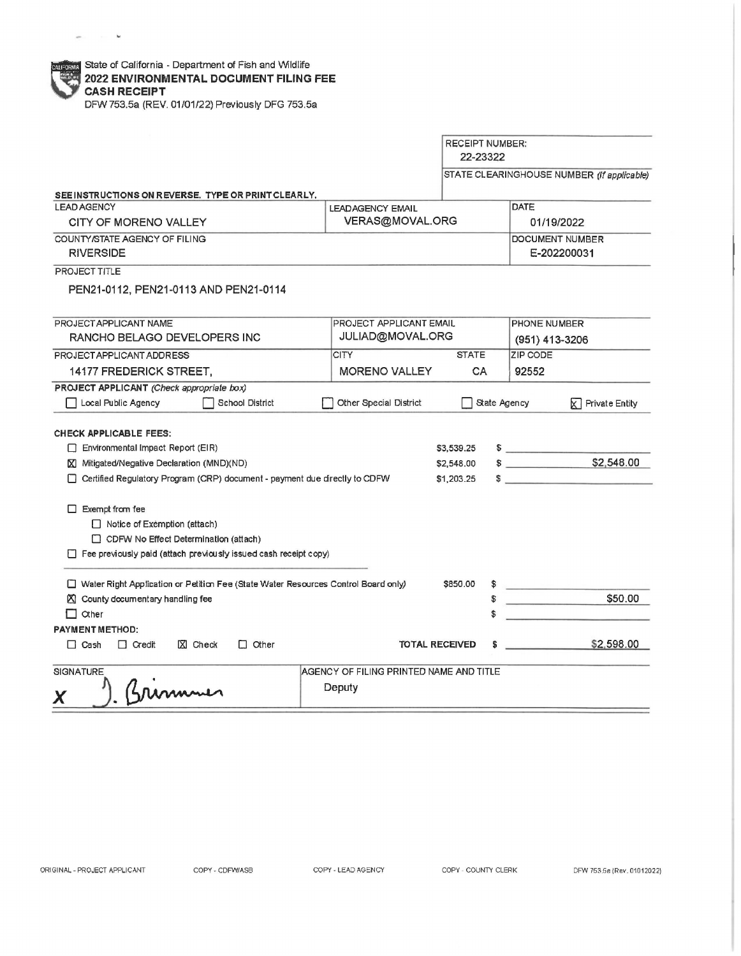$\omega_{\rm{max}} = 100$ 

CALI=

|                                                                                                                                                                                                                                                                                                                   |                               | <b>RECEIPT NUMBER:</b><br>22-23322     |                |                                             |                                            |  |  |
|-------------------------------------------------------------------------------------------------------------------------------------------------------------------------------------------------------------------------------------------------------------------------------------------------------------------|-------------------------------|----------------------------------------|----------------|---------------------------------------------|--------------------------------------------|--|--|
|                                                                                                                                                                                                                                                                                                                   |                               |                                        |                |                                             | STATE CLEARINGHOUSE NUMBER (if applicable) |  |  |
| SEE INSTRUCTIONS ON REVERSE. TYPE OR PRINT CLEARLY.                                                                                                                                                                                                                                                               |                               |                                        |                |                                             |                                            |  |  |
| <b>LEAD AGENCY</b>                                                                                                                                                                                                                                                                                                | <b>LEADAGENCY EMAIL</b>       |                                        |                | DATE                                        |                                            |  |  |
| CITY OF MORENO VALLEY                                                                                                                                                                                                                                                                                             | VERAS@MOVAL.ORG               |                                        |                | 01/19/2022                                  |                                            |  |  |
| COUNTY/STATE AGENCY OF FILING                                                                                                                                                                                                                                                                                     |                               |                                        |                |                                             |                                            |  |  |
| <b>RIVERSIDE</b>                                                                                                                                                                                                                                                                                                  |                               |                                        |                | E-202200031                                 |                                            |  |  |
| PROJECT TITLE                                                                                                                                                                                                                                                                                                     |                               |                                        |                |                                             |                                            |  |  |
| PEN21-0112, PEN21-0113 AND PEN21-0114                                                                                                                                                                                                                                                                             |                               |                                        |                |                                             |                                            |  |  |
| PROJECT APPLICANT NAME                                                                                                                                                                                                                                                                                            | PROJECT APPLICANT EMAIL       |                                        |                | PHONE NUMBER                                |                                            |  |  |
| RANCHO BELAGO DEVELOPERS INC                                                                                                                                                                                                                                                                                      | <b>JULIAD@MOVAL.ORG</b>       |                                        | (951) 413-3206 |                                             |                                            |  |  |
| PROJECT APPLICANT ADDRESS                                                                                                                                                                                                                                                                                         | <b>CITY</b>                   | <b>STATE</b>                           |                | ZIP CODE                                    |                                            |  |  |
| 14177 FREDERICK STREET,                                                                                                                                                                                                                                                                                           | <b>MORENO VALLEY</b>          | <b>CA</b>                              |                | 92552                                       |                                            |  |  |
| PROJECT APPLICANT (Check appropriate box)                                                                                                                                                                                                                                                                         |                               |                                        |                |                                             |                                            |  |  |
| Local Public Agency<br>School District                                                                                                                                                                                                                                                                            | <b>Other Special District</b> |                                        | State Agency   |                                             | $x$ Private Entity                         |  |  |
| <b>CHECK APPLICABLE FEES:</b><br>$\Box$ Environmental Impact Report (EIR)<br>[X] Mitigated/Negative Declaration (MND)(ND)<br>Certified Regulatory Program (CRP) document - payment due directly to CDFW<br>$\Box$ Exempt from fee<br>$\Box$ Notice of Exemption (attach)<br>CDFW No Effect Determination (attach) |                               | \$3,539.25<br>\$2,548.00<br>\$1,203.25 |                | $\frac{1}{2}$<br>$\frac{1}{2}$<br>$\sim$    | \$2,548.00                                 |  |  |
|                                                                                                                                                                                                                                                                                                                   |                               |                                        |                |                                             |                                            |  |  |
| $\Box$ Fee previously paid (attach previously issued cash receipt copy)                                                                                                                                                                                                                                           |                               |                                        |                |                                             |                                            |  |  |
| Water Right Application or Petition Fee (State Water Resources Control Board only)                                                                                                                                                                                                                                |                               | \$850.00                               |                | <u> La Carlotte de la Carlotte de la Ca</u> |                                            |  |  |
| ■ County documentary handling fee                                                                                                                                                                                                                                                                                 |                               |                                        |                |                                             | \$50.00                                    |  |  |
| $\Box$ Other                                                                                                                                                                                                                                                                                                      |                               |                                        |                |                                             |                                            |  |  |
|                                                                                                                                                                                                                                                                                                                   |                               |                                        |                |                                             |                                            |  |  |
| <b>PAYMENT METHOD:</b><br>$\boxtimes$ Check<br>$\Box$ Other<br>$\Box$ Cash<br>$\Box$ Credit                                                                                                                                                                                                                       |                               | <b>TOTAL RECEIVED</b>                  | s              |                                             | \$2,598.00                                 |  |  |

COPY - LEAD AGENCY COPY - COUNTY CLERK